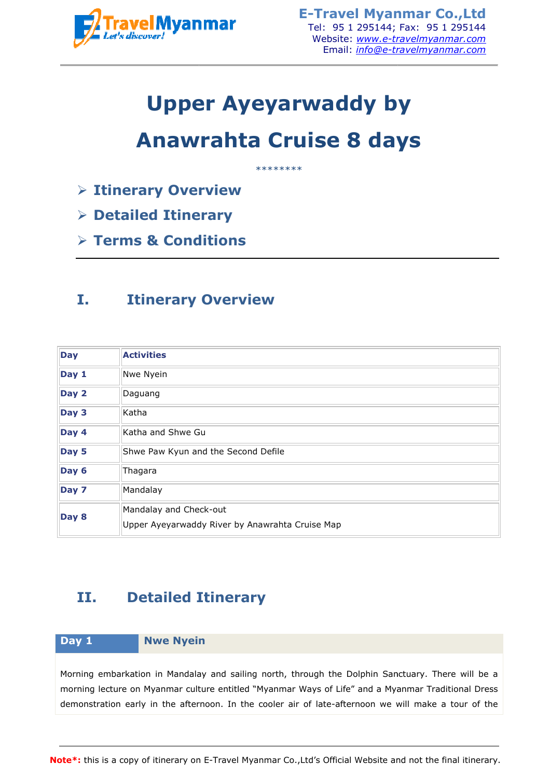

# **Upper Ayeyarwaddy by**

# **Anawrahta Cruise 8 days**

- **Itinerary Overview**
- **Detailed Itinerary**
- **Terms & Conditions**

## **I. Itinerary Overview**

| <b>TravelMyanmar</b>                |                                                                           | <b>E-Travel Myanmar Co., Ltd</b><br>Tel: 95 1 295144; Fax: 95 1 295144<br>Website: www.e-travelmyanmar.com<br>Email: <i>info@e-travelmyanmar.com</i>                                                                                                                                                            |
|-------------------------------------|---------------------------------------------------------------------------|-----------------------------------------------------------------------------------------------------------------------------------------------------------------------------------------------------------------------------------------------------------------------------------------------------------------|
|                                     |                                                                           | <b>Upper Ayeyarwaddy by</b>                                                                                                                                                                                                                                                                                     |
|                                     |                                                                           | <b>Anawrahta Cruise 8 days</b>                                                                                                                                                                                                                                                                                  |
|                                     | <b>Example 2 Finance Transformation 4 Finance Strand</b>                  | ********                                                                                                                                                                                                                                                                                                        |
| $\triangleright$ Detailed Itinerary |                                                                           |                                                                                                                                                                                                                                                                                                                 |
|                                     | $\triangleright$ Terms & Conditions                                       |                                                                                                                                                                                                                                                                                                                 |
| I.                                  | <b>Itinerary Overview</b>                                                 |                                                                                                                                                                                                                                                                                                                 |
| <b>Day</b>                          | <b>Activities</b>                                                         |                                                                                                                                                                                                                                                                                                                 |
| Day 1                               | Nwe Nyein                                                                 |                                                                                                                                                                                                                                                                                                                 |
| Day 2                               | Daguang                                                                   |                                                                                                                                                                                                                                                                                                                 |
| Day 3                               | Katha                                                                     |                                                                                                                                                                                                                                                                                                                 |
| Day 4                               | Katha and Shwe Gu                                                         |                                                                                                                                                                                                                                                                                                                 |
| Day 5                               | Shwe Paw Kyun and the Second Defile                                       |                                                                                                                                                                                                                                                                                                                 |
| Day 6                               | Thagara                                                                   |                                                                                                                                                                                                                                                                                                                 |
| Day 7                               | Mandalay                                                                  |                                                                                                                                                                                                                                                                                                                 |
| Day 8                               | Mandalay and Check-out<br>Upper Ayeyarwaddy River by Anawrahta Cruise Map |                                                                                                                                                                                                                                                                                                                 |
| II.                                 | <b>Detailed Itinerary</b>                                                 |                                                                                                                                                                                                                                                                                                                 |
| Day 1                               | <b>Nwe Nyein</b>                                                          |                                                                                                                                                                                                                                                                                                                 |
|                                     |                                                                           | Morning embarkation in Mandalay and sailing north, through the Dolphin Sanctuary. There will be a<br>morning lecture on Myanmar culture entitled "Myanmar Ways of Life" and a Myanmar Traditional Dress<br>demonstration early in the afternoon. In the cooler air of late-afternoon we will make a tour of the |
|                                     |                                                                           | lote*: this is a copy of itinerary on E-Travel Myanmar Co.,Ltd's Official Website and not the final itinerary.                                                                                                                                                                                                  |

## **II. Detailed Itinerary**

### **Day 1 Nwe Nyein**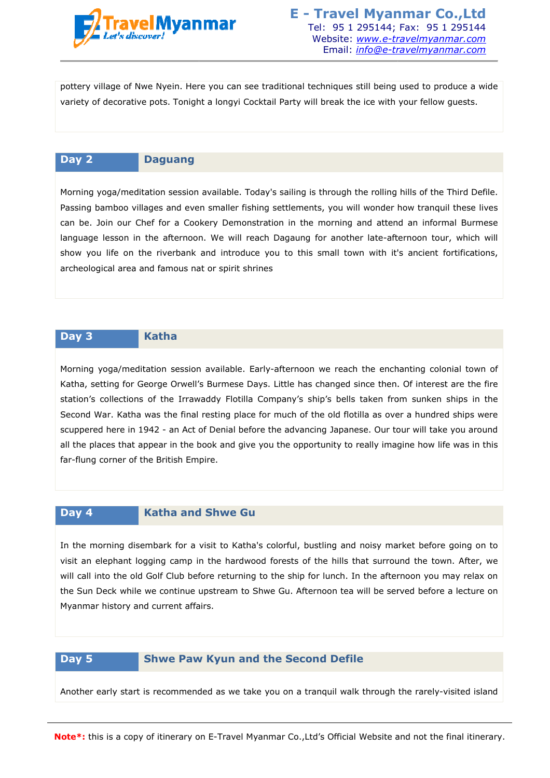

pottery village of Nwe Nyein. Here you can see traditional techniques still being used to produce a wide variety of decorative pots. Tonight a longyi Cocktail Party will break the ice with your fellow guests guests.

### **Day 2 Daguang**

Morning yoga/meditation session available. Today's sailing is through the rolling hills of the Third Defile. Passing bamboo villages and even smaller fishing settlements, you will wonder how tranquil these lives can be. Join our Chef for a Cookery Demonstration in the morning and attend an informal Burmese language lesson in the afternoon. We will reach Dagaung for another late-afternoon tour, which will language lesson in the afternoon. We will reach Dagaung for another late-afternoon tour, which will<br>show you life on the riverbank and introduce you to this small town with it's ancient fortifications, archeological area and famous nat or spirit shrines

### **Day 3 Katha**

Morning yoga/meditation session available. Early-afternoon we reach the enchanting colonial town of Katha, setting for George Orwell's Burmese Days. Little has changed since then. Of interest are the fire station's collections of the Irrawaddy Flotilla Company's ship's bells taken from sunken ships in the Second War. Katha was the final resting place for much of the old flotilla as over a hundred ships were scuppered here in 1942 - an Act of Denial before the advancing Japanese. Our tour will take you around all the places that appear in the book and give you the opportunity to really imagine how life was in this far-flung corner of the British Empire. Tel: 95 1 2951446; Fax: 95 1 295144; Fax: 95 1 295144; Fax: 95 1 295144; Fax: 95 1 295144; Fax: 95 1 295144; Email: *info@e-travelmyanmar.com*<br>Email: *info@e-travelmyanmar.com*<br>Email: *info@e-travelmyanmar.com*<br>comoyy Cock afternoon we reach the enchanting colonial town of<br>Little has changed since then. Of interest are the fire<br>pany's ship's bells taken from sunken ships in the<br>much of the old flotilla as over a hundred ships were<br>e advancin

### **Day 4 Katha and Shwe Gu**

In the morning disembark for a visit to Katha's colorful, bustling and noisy market before going on to visit an elephant logging camp in the hardwood forests of the hills that surround the town. After, we will call into the old Golf Club before returning to the ship for lunch. In the afternoon you may relax on the Sun Deck while we continue upstream to Shwe Gu. Afternoon tea will be served before a lecture on Myanmar history and current affairs affairs.

### **Day 5 Shwe Paw Kyun and the Second Defile**

Another early start is recommended as we take you on a tranquil walk through the rarely-visited island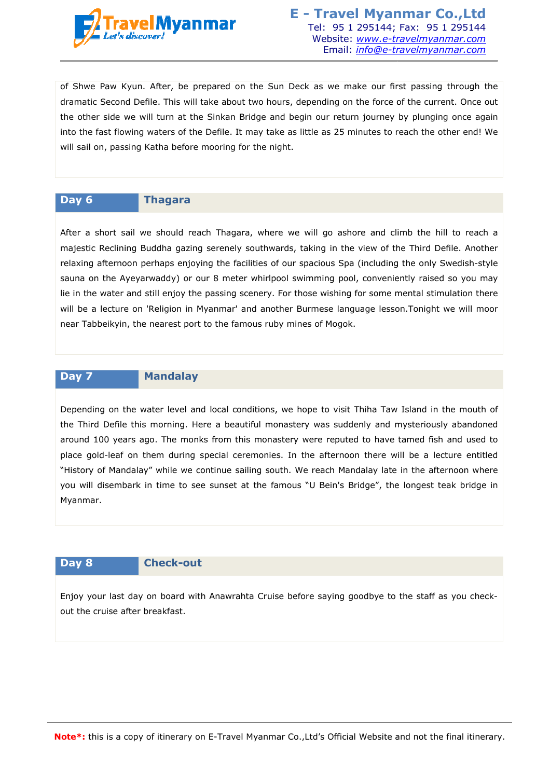

of Shwe Paw Kyun. After, be prepared on the Sun Deck as we make our first passing through the dramatic Second Defile. This will take about two hours, depending on the force of the current. Once out the other side we will turn at the Sinkan Bridge and begin our return journey by plunging once again into the fast flowing waters of the Defile. It may take as little as 25 minutes to reach the other end! We will sail on, passing Katha before mooring for the night. ending on the force of the current. Once out<br>our return journey by plunging once again<br>le as 25 minutes to reach the other end! We<br>ill go ashore and climb the hill to reach a<br>ing in the view of the Third Defile. Another

### **Day 6 Thagara**

After a short sail we should reach Thagara, where we will go ashore and climb the hill to reach a majestic Reclining Buddha gazing serenely southwards, taking in the view of the Third Defile. Another relaxing afternoon perhaps enjoying the facilities of our spacious Spa (including the only Swedish Swedish-style sauna on the Ayeyarwaddy) or our 8 meter whirlpool swimming pool, conveniently raised so you may lie in the water and still enjoy the passing scenery. For those wishing for some mental stimulation there will be a lecture on 'Religion in Myanmar' and another Burmese language lesson.Tonight we will moor near Tabbeikyin, the nearest port to the famous ruby mines of Mogok Mogok. Tel: 95 1 295144; Fax: 95 1 295144; Fax: 95 1 295144; Fax: 95 1 295144; Fax: 95 1 295144; Faxelinyanmar.com<br>
Email: *info@e-travelinyanmar.com*<br>
Email: *info@e-travelinyanmar.com*<br>
Email: *info@e-travelinyanmar.com*<br>
a abo

### **Day 7 Mandalay**

Depending on the water level and local conditions, we hope to visit Thiha Taw Island in the mouth of the Third Defile this morning. Here a beautiful monastery was suddenly and mysteriously abandoned around 100 years ago. The monks from this monastery were reputed to have tamed fish and used to place gold-leaf on them during special ceremonies. In the afternoon there will be a lecture entitled "History of Mandalay" while we continue sailing south. We reach Mandalay late in the afternoon where you will disembark in time to see sunset at the famous "U Bein's Bridge", the longest teak bridge in Myanmar.

### **Day 8 Check-out**

Enjoy your last day on board with Anawrahta Cruise before saying goodbye to the staff as you check checkout the cruise after breakfast.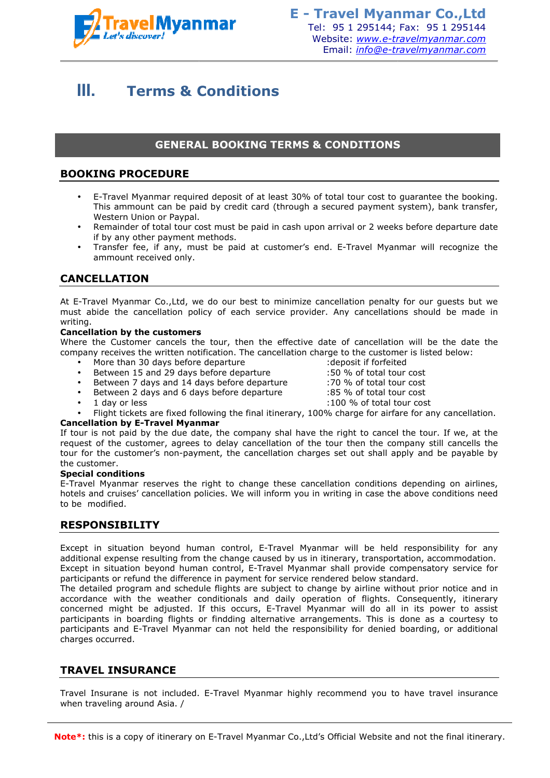

# **III. Terms & Conditions**

### **GENERAL BOOKING TERMS & CONDITIONS**

### **BOOKING PROCEDURE**

- E-Travel Myanmar required deposit of at least 30% of total tour cost to guarantee the booking. This ammount can be paid by credit card (through a secured payment system), bank transfer, Western Union or Paypal. Travel Myanmar required deposit of at least 30% of total tour cost to guarantee<br>iis ammount can be paid by credit card (through a secured payment system), b<br>estern Union or Paypal.<br>:mainder of total tour cost must be paid
- Remainder of total tour cost must be paid in cash upon arrival or 2 weeks before departure date if by any other payment methods.
- Transfer fee, if any, must be paid at customer's end. E-Travel Myanmar will recognize the ammount received only.

### **CANCELLATION**

At E-Travel Myanmar Co.,Ltd, we do our best to minimize cancellation penalty for our guests but we At E-Travel Myanmar Co.,Ltd, we do our best to minimize cancellation penalty for our guests but we<br>must abide the cancellation policy of each service provider. Any cancellations should be made in writing.

### **Cancellation by the customers**

Where the Customer cancels the tour, then the effective date of cancellation will be the date the company receives the written notification. The cancellation charge to the customer is listed below:

- More than 30 days before departure
- Between 15 and 29 days before departure
- Between 7 days and 14 days before departure
- Between 2 days and 6 days before departure
	- 1 day or less
- : deposit if forfeited :50 % of total tour cost
- :70 % of total tour cost
- :85 % of total tour cost
- :100 % of total tour cost
- Flight tickets are fixed following the final itinerary, 100% charge for airfare for any cancellation. ■ Between 7 days and 14 days before departure and the set of total tour cost<br>
■ Between 2 days and 6 days before departure the set of the set of total tour cost<br>
■ 1 day or less<br>
■ 1 day or less<br>
■ 1 day or less<br>
■ 100

### **Cancellation by E-Travel Myanmar Travel**

request of the customer, agrees to delay cancellation of the tour then the company still cancells the tour for the customer's non-payment, the cancellation charges set out shall apply and be payable by the customer.

### **Special conditions**

E-Travel Myanmar reserves the right to change these cancellation conditions depending on airlines, tour for the customer's non-payment, the cancellation charges set out shall apply and be payable by<br>the customer.<br>**Special conditions**<br>E-Travel Myanmar reserves the right to change these cancellation conditions depending o to be modified.

### **RESPONSIBILITY**

Except in situation beyond human control, E-Travel Myanmar will be held responsibility for any additional expense resulting from the change caused by us in itinerary, transportation, accommodation. hotels and cruises' cancellation policies. We will inform you in writing in case the above conditions need<br>to be modified.<br>**RESPONSIBILITY**<br>Except in situation beyond human control, E-Travel Myanmar will be held responsibi participants or refund the difference in payment for service rendered below standard.

The detailed program and schedule flights are subject to change by airline without prior notice and in accordance with the weather conditionals and daily operation of flights. Consequently, itinerary concerned might be adjusted. If this occurs, E E-Travel Myanmar will do all in its power to assist participants in boarding flights or findding alternative arrangements. This is done as a courtesy to participants and E-Travel Myanmar can not held the responsibility for denied boarding, or additional charges occurred. participants and E-Travel Myanmar can not held the responsibility for denied boarding, or additional<br>charges occurred.<br>TRAVEL INSURANCE<br>Travel Insurane is not included. E-Travel Myanmar highly recommend you to have travel Tel: 95 1 295144; Fax: 95 14 295144; Fax: 95 14 295144; Fax: 95 14 295144; Fax: 95 14 295144; Fax: 95 14 29614<br>
modificials into the secured payment system payable creation of the creation of the creation of the creation o ditionals and daily chis occurs, E-Travel<br>findding alternative a<br>can not held the res<br>Travel Myanmar high

### **TRAVEL INSURANCE**

when traveling around Asia. /